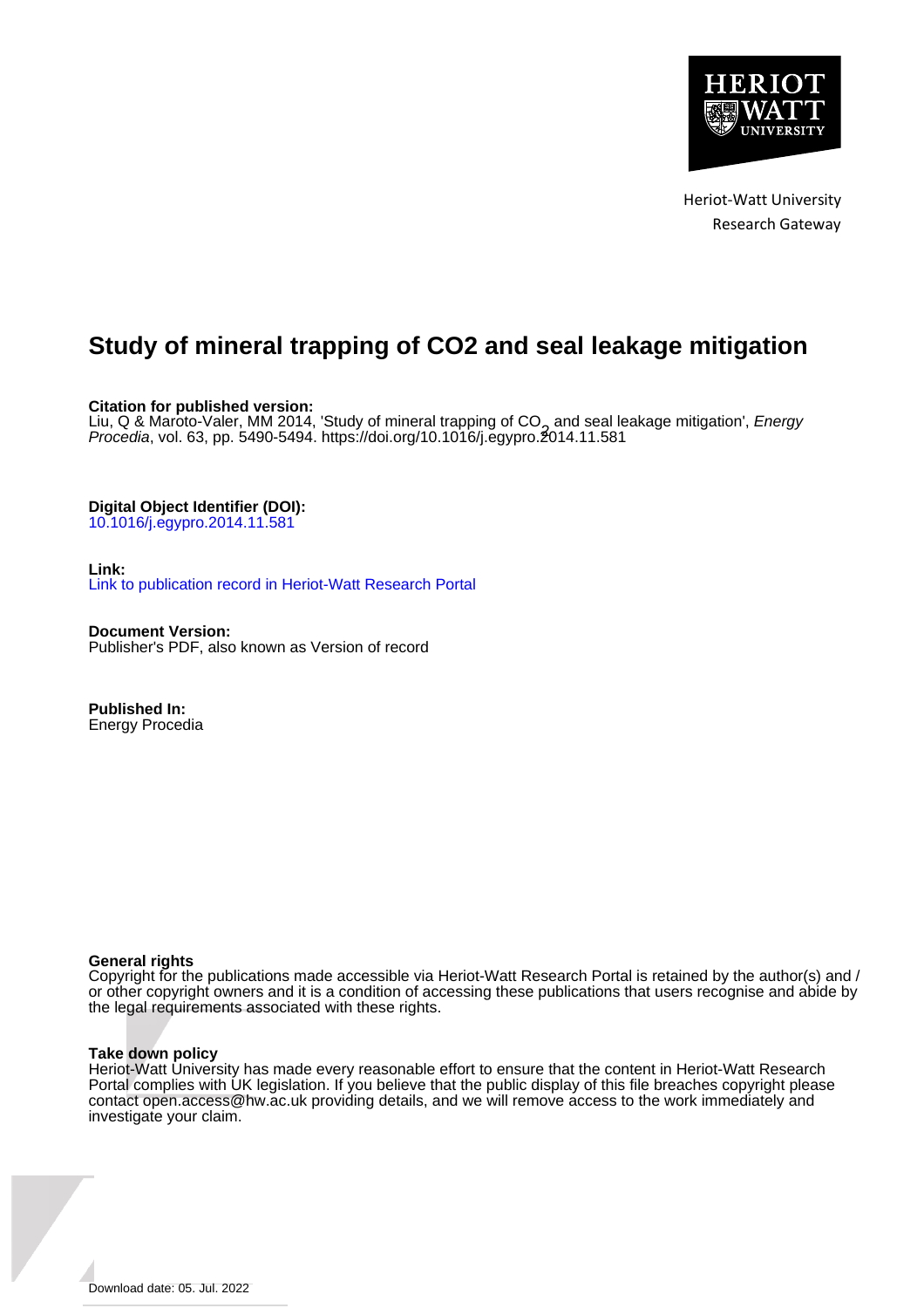

Heriot-Watt University Research Gateway

# **Study of mineral trapping of CO2 and seal leakage mitigation**

**Citation for published version:**

Liu, Q & Maroto-Valer, MM 2014, 'Study of mineral trapping of CO<sub>2</sub> and seal leakage mitigation', *Energy*<br>*Procedia*, vol. 63, pp. 5490-5494, https://doi.org/10.1016/j.egypro.<del>2</del>014.11.581 Procedia, vol. 63, pp. 5490-5494.<https://doi.org/10.1016/j.egypro.2014.11.581>

**Digital Object Identifier (DOI):**

[10.1016/j.egypro.2014.11.581](https://doi.org/10.1016/j.egypro.2014.11.581)

**Link:**

[Link to publication record in Heriot-Watt Research Portal](https://researchportal.hw.ac.uk/en/publications/6100a606-1da2-4e56-837c-c93e5c05d2d0)

**Document Version:** Publisher's PDF, also known as Version of record

**Published In:** Energy Procedia

# **General rights**

Copyright for the publications made accessible via Heriot-Watt Research Portal is retained by the author(s) and / or other copyright owners and it is a condition of accessing these publications that users recognise and abide by the legal requirements associated with these rights.

# **Take down policy**

Heriot-Watt University has made every reasonable effort to ensure that the content in Heriot-Watt Research Portal complies with UK legislation. If you believe that the public display of this file breaches copyright please contact open.access@hw.ac.uk providing details, and we will remove access to the work immediately and investigate your claim.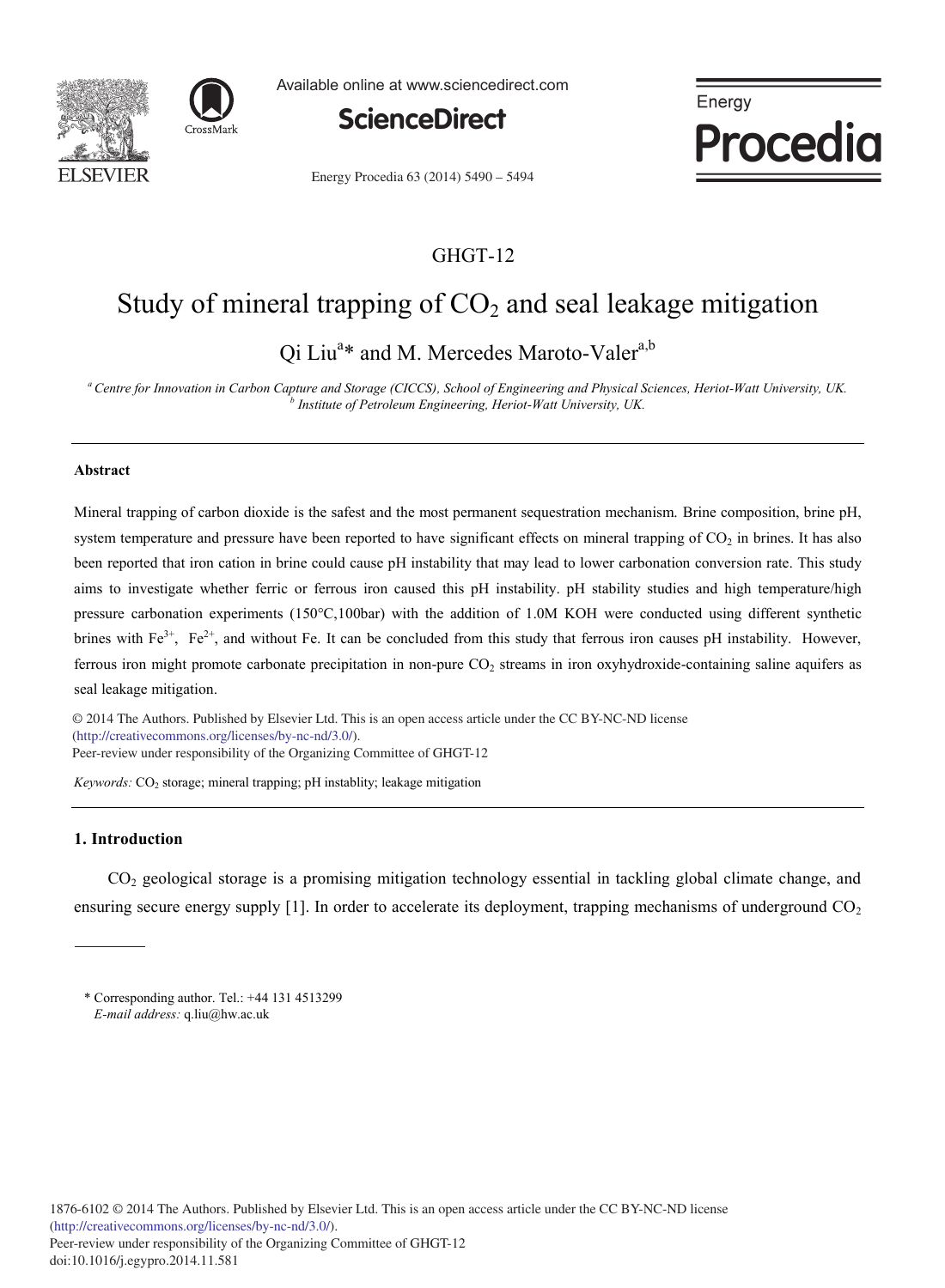



Available online at www.sciencedirect.com



Energy Procedia

Energy Procedia 63 (2014) 5490 - 5494

# GHGT-12

# Study of mineral trapping of  $CO<sub>2</sub>$  and seal leakage mitigation

Qi Liu<sup>a\*</sup> and M. Mercedes Maroto-Valer<sup>a,b</sup>

*a Centre for Innovation in Carbon Capture and Storage (CICCS), School of Engineering and Physical Sciences, Heriot-Watt University, UK. <sup>b</sup> Institute of Petroleum Engineering, Heriot-Watt University, UK.*

#### **Abstract**

Mineral trapping of carbon dioxide is the safest and the most permanent sequestration mechanism. Brine composition, brine pH, system temperature and pressure have been reported to have significant effects on mineral trapping of  $CO<sub>2</sub>$  in brines. It has also been reported that iron cation in brine could cause pH instability that may lead to lower carbonation conversion rate. This study aims to investigate whether ferric or ferrous iron caused this pH instability. pH stability studies and high temperature/high pressure carbonation experiments (150°C,100bar) with the addition of 1.0M KOH were conducted using different synthetic brines with  $Fe^{3+}$ ,  $Fe^{2+}$ , and without Fe. It can be concluded from this study that ferrous iron causes pH instability. However, ferrous iron might promote carbonate precipitation in non-pure CO<sub>2</sub> streams in iron oxyhydroxide-containing saline aquifers as seal leakage mitigation.

 © 2014 The Authors. Published by Elsevier Ltd. This is an open access article under the CC BY-NC-ND license © 2013 The Authors. Published by Elsevier Ltd. (http://creativecommons.org/licenses/by-nc-nd/3.0/). (incentive commonsion generators) in the star).

*Keywords:* CO<sub>2</sub> storage; mineral trapping; pH instablity; leakage mitigation

# **1. Introduction**

CO2 geological storage is a promising mitigation technology essential in tackling global climate change, and ensuring secure energy supply  $[1]$ . In order to accelerate its deployment, trapping mechanisms of underground  $CO<sub>2</sub>$ 

<sup>\*</sup> Corresponding author. Tel.: +44 131 4513299 *E-mail address:* q.liu@hw.ac.uk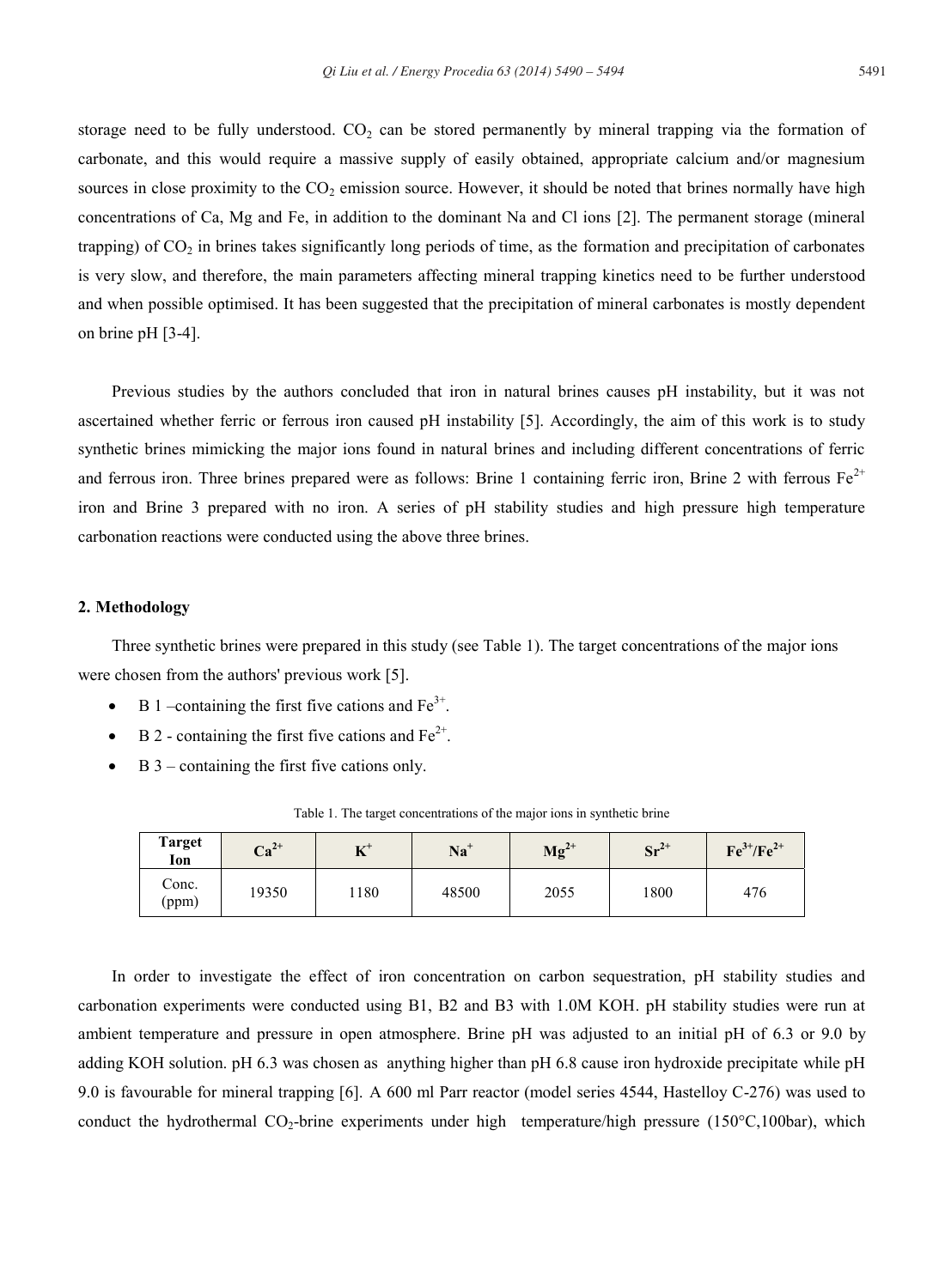storage need to be fully understood.  $CO<sub>2</sub>$  can be stored permanently by mineral trapping via the formation of carbonate, and this would require a massive supply of easily obtained, appropriate calcium and/or magnesium sources in close proximity to the  $CO<sub>2</sub>$  emission source. However, it should be noted that brines normally have high concentrations of Ca, Mg and Fe, in addition to the dominant Na and Cl ions [2]. The permanent storage (mineral trapping) of  $CO<sub>2</sub>$  in brines takes significantly long periods of time, as the formation and precipitation of carbonates is very slow, and therefore, the main parameters affecting mineral trapping kinetics need to be further understood and when possible optimised. It has been suggested that the precipitation of mineral carbonates is mostly dependent on brine pH [3-4].

Previous studies by the authors concluded that iron in natural brines causes pH instability, but it was not ascertained whether ferric or ferrous iron caused pH instability [5]. Accordingly, the aim of this work is to study synthetic brines mimicking the major ions found in natural brines and including different concentrations of ferric and ferrous iron. Three brines prepared were as follows: Brine 1 containing ferric iron, Brine 2 with ferrous  $Fe^{2+}$ iron and Brine 3 prepared with no iron. A series of pH stability studies and high pressure high temperature carbonation reactions were conducted using the above three brines.

### **2. Methodology**

Three synthetic brines were prepared in this study (see Table 1). The target concentrations of the major ions were chosen from the authors' previous work [5].

- B 1 –containing the first five cations and  $Fe<sup>3+</sup>$ .
- B 2 containing the first five cations and  $Fe^{2+}$ .
- $B_3$  containing the first five cations only.

| <b>Target</b><br>Ion | $Ca^{2+}$ | エアキ<br>A | $Na+$ | $Mg^{2+}$ | $Sr^{2+}$ | $Fe^{3+}/Fe^{2+}$ |
|----------------------|-----------|----------|-------|-----------|-----------|-------------------|
| Conc.<br>(ppm)       | 19350     | 1180     | 48500 | 2055      | 1800      | 476               |

Table 1. The target concentrations of the major ions in synthetic brine

In order to investigate the effect of iron concentration on carbon sequestration, pH stability studies and carbonation experiments were conducted using B1, B2 and B3 with 1.0M KOH. pH stability studies were run at ambient temperature and pressure in open atmosphere. Brine pH was adjusted to an initial pH of 6.3 or 9.0 by adding KOH solution. pH 6.3 was chosen as anything higher than pH 6.8 cause iron hydroxide precipitate while pH 9.0 is favourable for mineral trapping [6]. A 600 ml Parr reactor (model series 4544, Hastelloy C-276) was used to conduct the hydrothermal CO<sub>2</sub>-brine experiments under high temperature/high pressure (150 $\degree$ C,100bar), which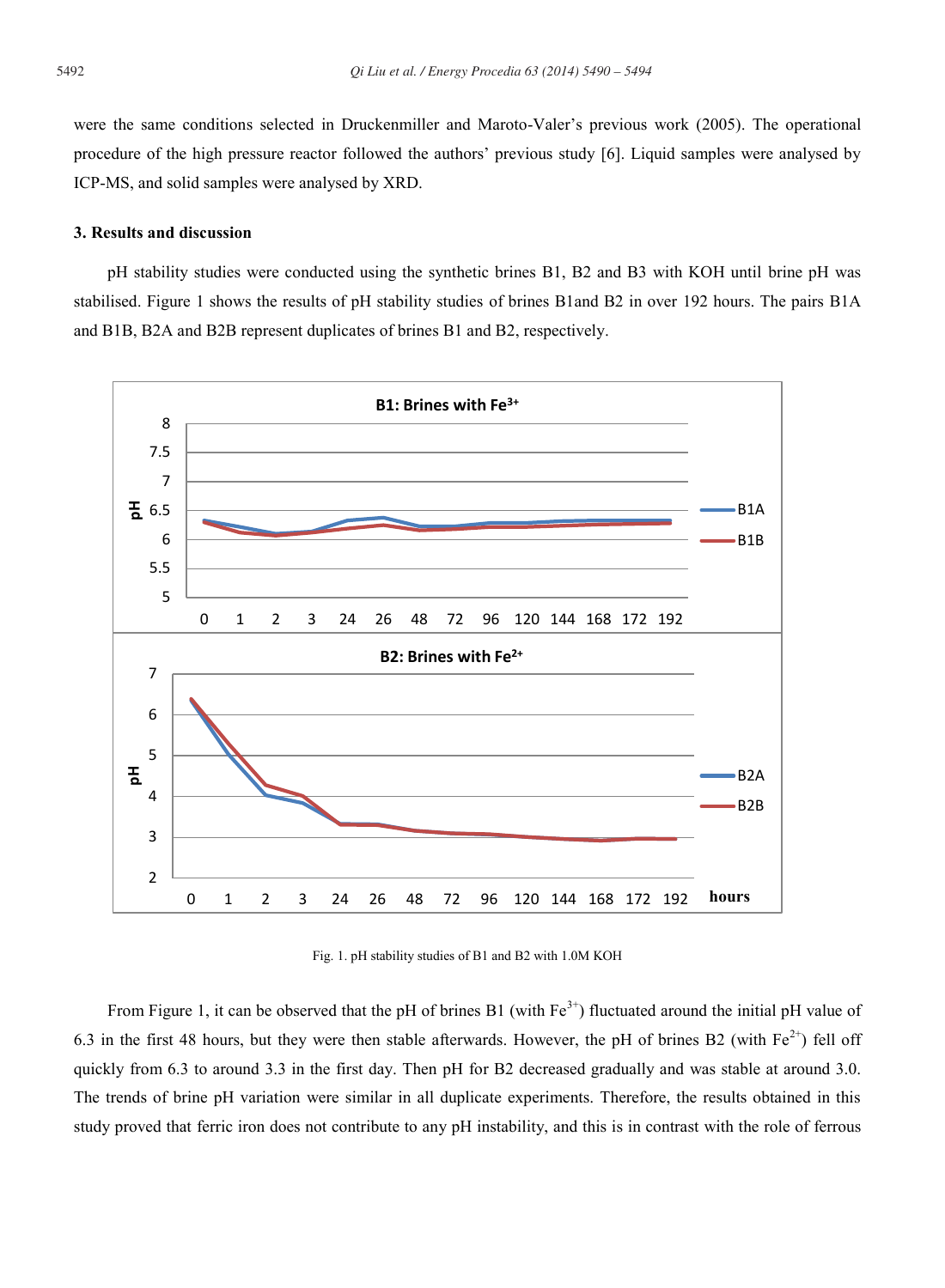were the same conditions selected in Druckenmiller and Maroto-Valer's previous work (2005). The operational procedure of the high pressure reactor followed the authors' previous study [6]. Liquid samples were analysed by ICP-MS, and solid samples were analysed by XRD.

#### **3. Results and discussion**

pH stability studies were conducted using the synthetic brines B1, B2 and B3 with KOH until brine pH was stabilised. Figure 1 shows the results of pH stability studies of brines B1and B2 in over 192 hours. The pairs B1A and B1B, B2A and B2B represent duplicates of brines B1 and B2, respectively.



Fig. 1. pH stability studies of B1 and B2 with 1.0M KOH

From Figure 1, it can be observed that the pH of brines B1 (with  $Fe^{3+}$ ) fluctuated around the initial pH value of 6.3 in the first 48 hours, but they were then stable afterwards. However, the pH of brines B2 (with  $Fe^{2+}$ ) fell off quickly from 6.3 to around 3.3 in the first day. Then pH for B2 decreased gradually and was stable at around 3.0. The trends of brine pH variation were similar in all duplicate experiments. Therefore, the results obtained in this study proved that ferric iron does not contribute to any pH instability, and this is in contrast with the role of ferrous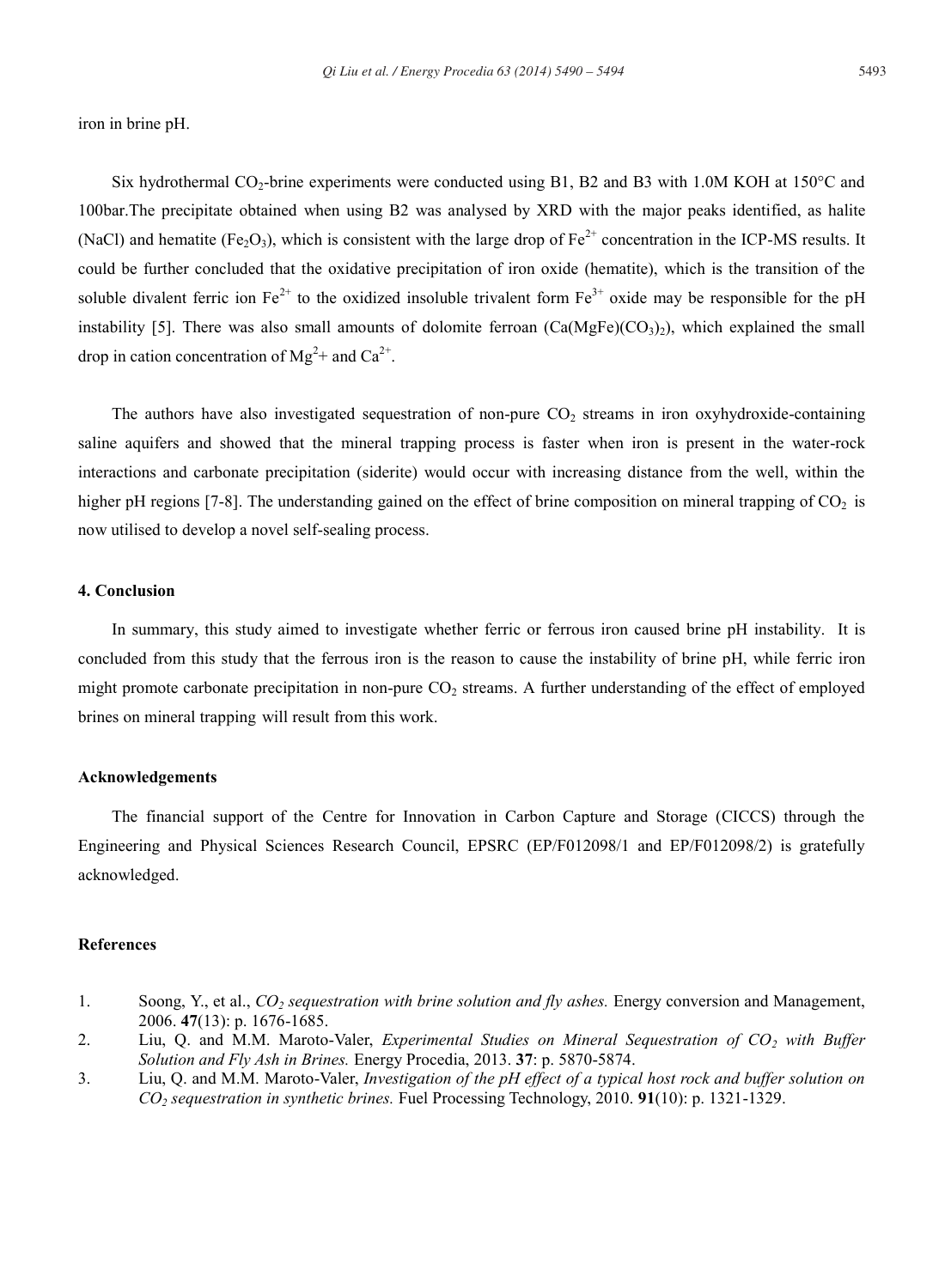iron in brine pH.

Six hydrothermal  $CO_2$ -brine experiments were conducted using B1, B2 and B3 with 1.0M KOH at 150 $\degree$ C and 100bar.The precipitate obtained when using B2 was analysed by XRD with the major peaks identified, as halite (NaCl) and hematite (Fe<sub>2</sub>O<sub>3</sub>), which is consistent with the large drop of Fe<sup>2+</sup> concentration in the ICP-MS results. It could be further concluded that the oxidative precipitation of iron oxide (hematite), which is the transition of the soluble divalent ferric ion  $Fe^{2+}$  to the oxidized insoluble trivalent form  $Fe^{3+}$  oxide may be responsible for the pH instability [5]. There was also small amounts of dolomite ferroan  $(Ca(MgFe)(CO<sub>3</sub>)$ , which explained the small drop in cation concentration of  $Mg^{2+}$  and  $Ca^{2+}$ .

The authors have also investigated sequestration of non-pure  $CO<sub>2</sub>$  streams in iron oxyhydroxide-containing saline aquifers and showed that the mineral trapping process is faster when iron is present in the water-rock interactions and carbonate precipitation (siderite) would occur with increasing distance from the well, within the higher pH regions [7-8]. The understanding gained on the effect of brine composition on mineral trapping of  $CO<sub>2</sub>$  is now utilised to develop a novel self-sealing process.

#### **4. Conclusion**

In summary, this study aimed to investigate whether ferric or ferrous iron caused brine pH instability. It is concluded from this study that the ferrous iron is the reason to cause the instability of brine pH, while ferric iron might promote carbonate precipitation in non-pure  $CO<sub>2</sub>$  streams. A further understanding of the effect of employed brines on mineral trapping will result from this work.

### **Acknowledgements**

The financial support of the Centre for Innovation in Carbon Capture and Storage (CICCS) through the Engineering and Physical Sciences Research Council, EPSRC (EP/F012098/1 and EP/F012098/2) is gratefully acknowledged.

#### **References**

- 1. Soong, Y., et al., *CO2 sequestration with brine solution and fly ashes.* Energy conversion and Management, 2006. **47**(13): p. 1676-1685.
- 2. Liu, Q. and M.M. Maroto-Valer, *Experimental Studies on Mineral Sequestration of CO2 with Buffer Solution and Fly Ash in Brines.* Energy Procedia, 2013. **37**: p. 5870-5874.
- 3. Liu, Q. and M.M. Maroto-Valer, *Investigation of the pH effect of a typical host rock and buffer solution on CO2 sequestration in synthetic brines.* Fuel Processing Technology, 2010. **91**(10): p. 1321-1329.